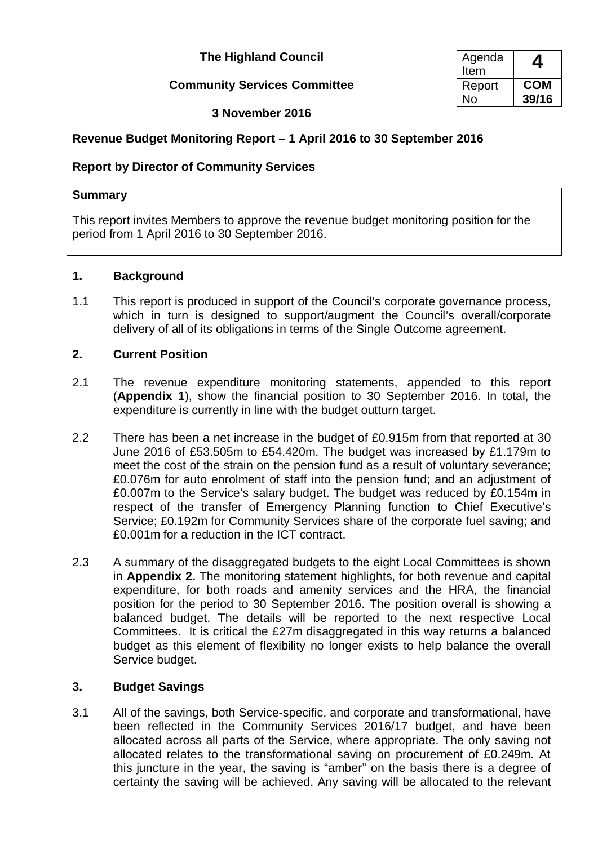**The Highland Council** 

# **Community Services Committee Report Report**

Agenda **4** No **COM 39/16**

# **3 November 2016**

# **Revenue Budget Monitoring Report – 1 April 2016 to 30 September 2016**

# **Report by Director of Community Services**

#### **Summary**

This report invites Members to approve the revenue budget monitoring position for the period from 1 April 2016 to 30 September 2016.

### **1. Background**

1.1 This report is produced in support of the Council's corporate governance process, which in turn is designed to support/augment the Council's overall/corporate delivery of all of its obligations in terms of the Single Outcome agreement.

### **2. Current Position**

- 2.1 The revenue expenditure monitoring statements, appended to this report (**Appendix 1**), show the financial position to 30 September 2016. In total, the expenditure is currently in line with the budget outturn target.
- 2.2 There has been a net increase in the budget of £0.915m from that reported at 30 June 2016 of £53.505m to £54.420m. The budget was increased by £1.179m to meet the cost of the strain on the pension fund as a result of voluntary severance; £0.076m for auto enrolment of staff into the pension fund; and an adjustment of £0.007m to the Service's salary budget. The budget was reduced by £0.154m in respect of the transfer of Emergency Planning function to Chief Executive's Service; £0.192m for Community Services share of the corporate fuel saving; and £0.001m for a reduction in the ICT contract.
- 2.3 A summary of the disaggregated budgets to the eight Local Committees is shown in **Appendix 2.** The monitoring statement highlights, for both revenue and capital expenditure, for both roads and amenity services and the HRA, the financial position for the period to 30 September 2016. The position overall is showing a balanced budget. The details will be reported to the next respective Local Committees. It is critical the £27m disaggregated in this way returns a balanced budget as this element of flexibility no longer exists to help balance the overall Service budget.

# **3. Budget Savings**

3.1 All of the savings, both Service-specific, and corporate and transformational, have been reflected in the Community Services 2016/17 budget, and have been allocated across all parts of the Service, where appropriate. The only saving not allocated relates to the transformational saving on procurement of £0.249m. At this juncture in the year, the saving is "amber" on the basis there is a degree of certainty the saving will be achieved. Any saving will be allocated to the relevant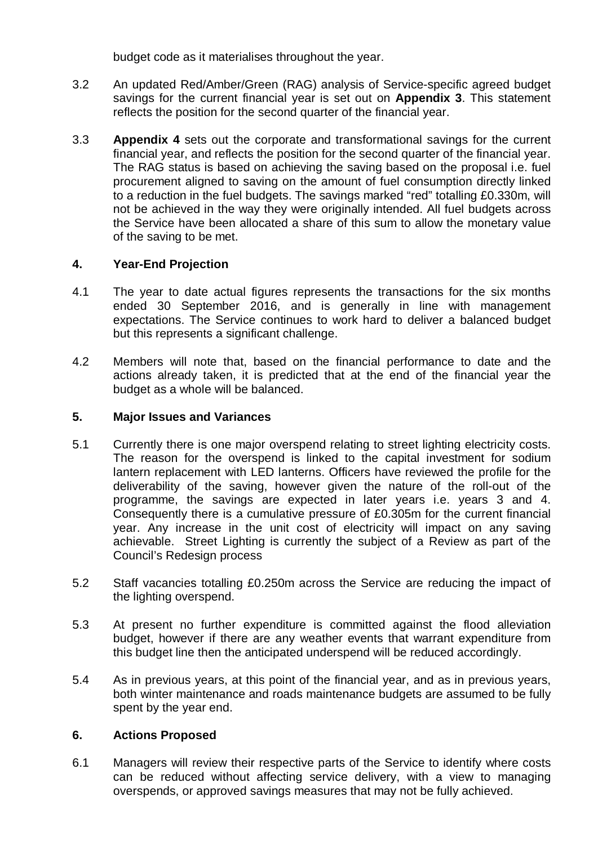budget code as it materialises throughout the year.

- 3.2 An updated Red/Amber/Green (RAG) analysis of Service-specific agreed budget savings for the current financial year is set out on **Appendix 3**. This statement reflects the position for the second quarter of the financial year.
- 3.3 **Appendix 4** sets out the corporate and transformational savings for the current financial year, and reflects the position for the second quarter of the financial year. The RAG status is based on achieving the saving based on the proposal i.e. fuel procurement aligned to saving on the amount of fuel consumption directly linked to a reduction in the fuel budgets. The savings marked "red" totalling £0.330m, will not be achieved in the way they were originally intended. All fuel budgets across the Service have been allocated a share of this sum to allow the monetary value of the saving to be met.

# **4. Year-End Projection**

- 4.1 The year to date actual figures represents the transactions for the six months ended 30 September 2016, and is generally in line with management expectations. The Service continues to work hard to deliver a balanced budget but this represents a significant challenge.
- 4.2 Members will note that, based on the financial performance to date and the actions already taken, it is predicted that at the end of the financial year the budget as a whole will be balanced.

### **5. Major Issues and Variances**

- 5.1 Currently there is one major overspend relating to street lighting electricity costs. The reason for the overspend is linked to the capital investment for sodium lantern replacement with LED lanterns. Officers have reviewed the profile for the deliverability of the saving, however given the nature of the roll-out of the programme, the savings are expected in later years i.e. years 3 and 4. Consequently there is a cumulative pressure of £0.305m for the current financial year. Any increase in the unit cost of electricity will impact on any saving achievable. Street Lighting is currently the subject of a Review as part of the Council's Redesign process
- 5.2 Staff vacancies totalling £0.250m across the Service are reducing the impact of the lighting overspend.
- 5.3 At present no further expenditure is committed against the flood alleviation budget, however if there are any weather events that warrant expenditure from this budget line then the anticipated underspend will be reduced accordingly.
- 5.4 As in previous years, at this point of the financial year, and as in previous years, both winter maintenance and roads maintenance budgets are assumed to be fully spent by the year end.

#### **6. Actions Proposed**

6.1 Managers will review their respective parts of the Service to identify where costs can be reduced without affecting service delivery, with a view to managing overspends, or approved savings measures that may not be fully achieved.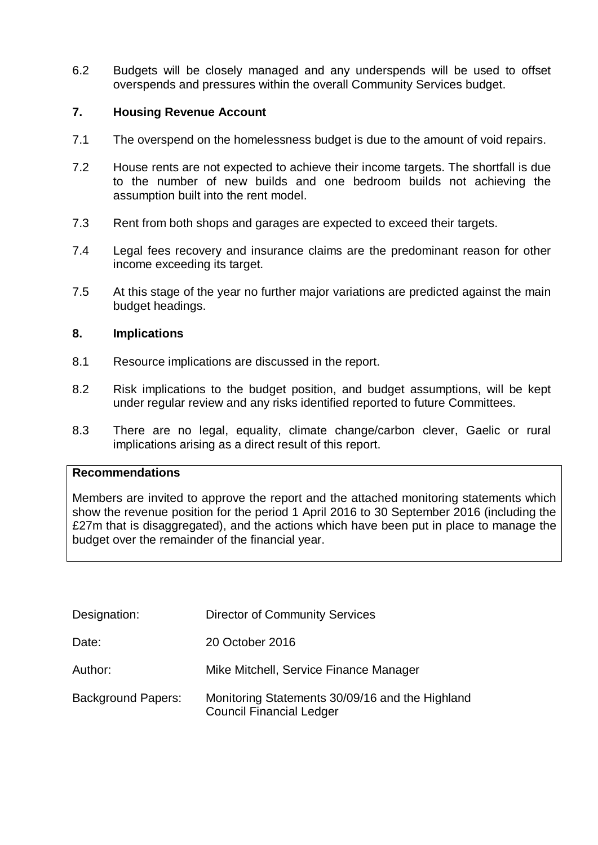6.2 Budgets will be closely managed and any underspends will be used to offset overspends and pressures within the overall Community Services budget.

#### **7. Housing Revenue Account**

- 7.1 The overspend on the homelessness budget is due to the amount of void repairs.
- 7.2 House rents are not expected to achieve their income targets. The shortfall is due to the number of new builds and one bedroom builds not achieving the assumption built into the rent model.
- 7.3 Rent from both shops and garages are expected to exceed their targets.
- 7.4 Legal fees recovery and insurance claims are the predominant reason for other income exceeding its target.
- 7.5 At this stage of the year no further major variations are predicted against the main budget headings.

#### **8. Implications**

- 8.1 Resource implications are discussed in the report.
- 8.2 Risk implications to the budget position, and budget assumptions, will be kept under regular review and any risks identified reported to future Committees.
- 8.3 There are no legal, equality, climate change/carbon clever, Gaelic or rural implications arising as a direct result of this report.

#### **Recommendations**

Members are invited to approve the report and the attached monitoring statements which show the revenue position for the period 1 April 2016 to 30 September 2016 (including the £27m that is disaggregated), and the actions which have been put in place to manage the budget over the remainder of the financial year.

| Designation:              | <b>Director of Community Services</b>                                              |
|---------------------------|------------------------------------------------------------------------------------|
| Date:                     | 20 October 2016                                                                    |
| Author:                   | Mike Mitchell, Service Finance Manager                                             |
| <b>Background Papers:</b> | Monitoring Statements 30/09/16 and the Highland<br><b>Council Financial Ledger</b> |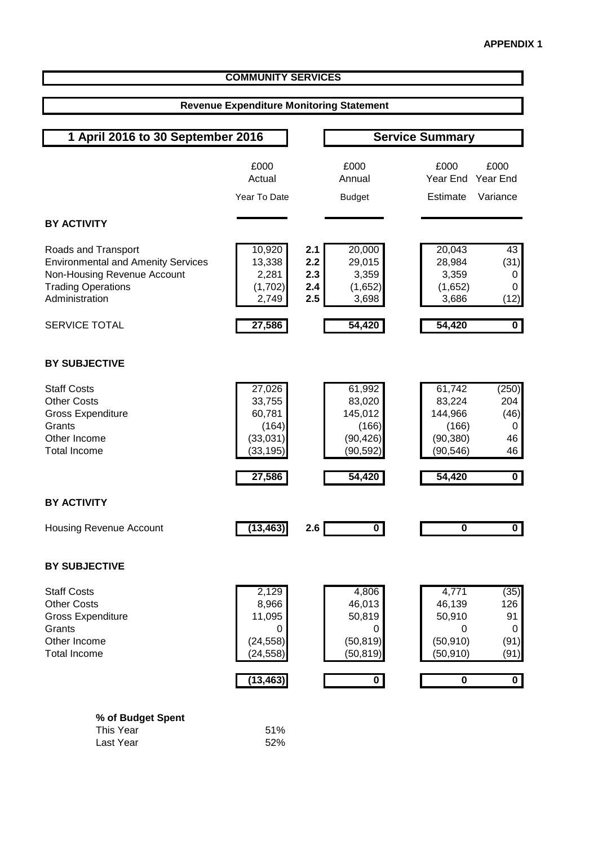| <b>COMMUNITY SERVICES</b>                                                                                                                      |                                                                      |                                 |                                                                                     |                                                                                                                                                 |  |  |
|------------------------------------------------------------------------------------------------------------------------------------------------|----------------------------------------------------------------------|---------------------------------|-------------------------------------------------------------------------------------|-------------------------------------------------------------------------------------------------------------------------------------------------|--|--|
|                                                                                                                                                | <b>Revenue Expenditure Monitoring Statement</b>                      |                                 |                                                                                     |                                                                                                                                                 |  |  |
|                                                                                                                                                |                                                                      |                                 |                                                                                     |                                                                                                                                                 |  |  |
| 1 April 2016 to 30 September 2016                                                                                                              |                                                                      |                                 |                                                                                     | <b>Service Summary</b>                                                                                                                          |  |  |
|                                                                                                                                                | £000<br>Actual                                                       |                                 | £000<br>Annual                                                                      | £000<br>£000<br>Year End<br>Year End                                                                                                            |  |  |
|                                                                                                                                                | Year To Date                                                         |                                 | <b>Budget</b>                                                                       | Estimate<br>Variance                                                                                                                            |  |  |
| <b>BY ACTIVITY</b>                                                                                                                             |                                                                      |                                 |                                                                                     |                                                                                                                                                 |  |  |
| Roads and Transport<br><b>Environmental and Amenity Services</b><br>Non-Housing Revenue Account<br><b>Trading Operations</b><br>Administration | 10,920<br>13,338<br>2,281<br>(1,702)<br>2,749                        | 2.1<br>2.2<br>2.3<br>2.4<br>2.5 | 20,000<br>29,015<br>3,359<br>(1,652)<br>3,698                                       | 20,043<br>43<br>28,984<br>(31)<br>3,359<br>0<br>(1,652)<br>$\pmb{0}$<br>3,686<br>(12)                                                           |  |  |
| <b>SERVICE TOTAL</b>                                                                                                                           | 27,586                                                               |                                 | 54,420                                                                              | 54,420<br>$\overline{\mathbf{0}}$                                                                                                               |  |  |
| <b>BY SUBJECTIVE</b>                                                                                                                           |                                                                      |                                 |                                                                                     |                                                                                                                                                 |  |  |
| <b>Staff Costs</b><br><b>Other Costs</b><br><b>Gross Expenditure</b><br>Grants<br>Other Income<br><b>Total Income</b>                          | 27,026<br>33,755<br>60,781<br>(164)<br>(33,031)<br>(33, 195)         |                                 | 61,992<br>83,020<br>145,012<br>(166)<br>(90, 426)<br>(90, 592)                      | 61,742<br>(250)<br>204<br>83,224<br>144,966<br>(46)<br>(166)<br>0<br>(90, 380)<br>46<br>(90, 546)<br>46                                         |  |  |
|                                                                                                                                                | 27,586                                                               |                                 | 54,420                                                                              | 54,420<br>$\mathbf{0}$                                                                                                                          |  |  |
| <b>BY ACTIVITY</b>                                                                                                                             |                                                                      |                                 |                                                                                     |                                                                                                                                                 |  |  |
| <b>Housing Revenue Account</b>                                                                                                                 | (13, 463)                                                            | 2.6                             | $\overline{\mathbf{0}}$                                                             | 0<br>$\overline{\phantom{0}}$                                                                                                                   |  |  |
| <b>BY SUBJECTIVE</b>                                                                                                                           |                                                                      |                                 |                                                                                     |                                                                                                                                                 |  |  |
| <b>Staff Costs</b><br><b>Other Costs</b><br><b>Gross Expenditure</b><br>Grants<br>Other Income<br><b>Total Income</b>                          | 2,129<br>8,966<br>11,095<br>0<br>(24, 558)<br>(24, 558)<br>(13, 463) |                                 | 4,806<br>46,013<br>50,819<br>0<br>(50, 819)<br>(50, 819)<br>$\overline{\mathbf{o}}$ | 4,771<br>(35)<br>46,139<br>126<br>50,910<br>91<br>0<br>0<br>(50, 910)<br>(91)<br>(50, 910)<br>(91)<br>$\overline{\mathbf{0}}$<br>$\overline{0}$ |  |  |

|  | % of Budget Spent |  |  |
|--|-------------------|--|--|
|  | This Year         |  |  |

| This Year | 51% |
|-----------|-----|
| Last Year | 52% |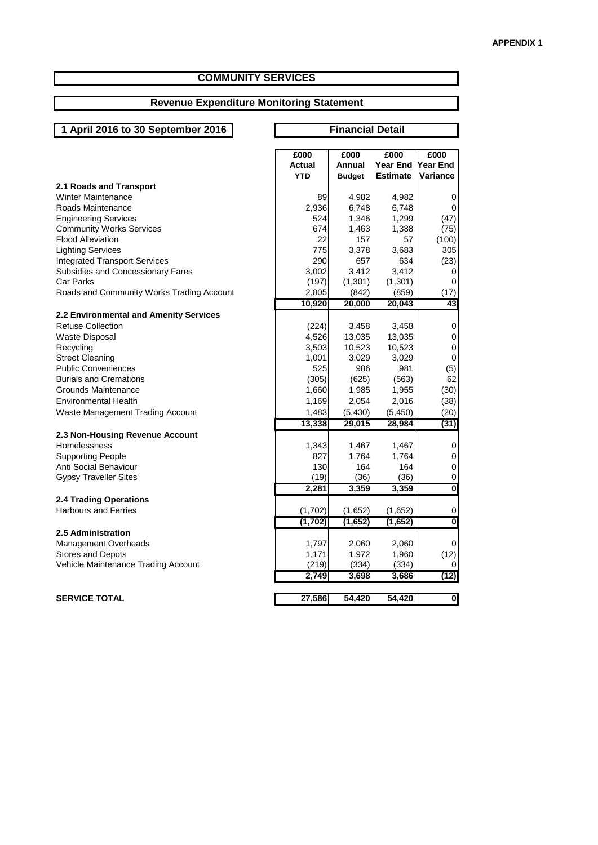#### **COMMUNITY SERVICES**

#### **Revenue Expenditure Monitoring Statement**

# **1 April 2016 to 30 September 2016**

#### **Financial Detail**

|                                           | £000          | £000          | £000            | £000                    |
|-------------------------------------------|---------------|---------------|-----------------|-------------------------|
|                                           | <b>Actual</b> | Annual        | <b>Year End</b> | <b>Year End</b>         |
|                                           | <b>YTD</b>    | <b>Budget</b> | <b>Estimate</b> | Variance                |
| 2.1 Roads and Transport                   |               |               |                 |                         |
| <b>Winter Maintenance</b>                 | 89            | 4,982         | 4,982           | 0                       |
| Roads Maintenance                         | 2,936         | 6,748         | 6,748           | 0                       |
| <b>Engineering Services</b>               | 524           | 1,346         | 1,299           | (47)                    |
| <b>Community Works Services</b>           | 674           | 1,463         | 1,388           | (75)                    |
| <b>Flood Alleviation</b>                  | 22            | 157           | 57              | (100)                   |
| <b>Lighting Services</b>                  | 775           | 3,378         | 3,683           | 305                     |
| <b>Integrated Transport Services</b>      | 290           | 657           | 634             | (23)                    |
| Subsidies and Concessionary Fares         | 3,002         | 3,412         | 3,412           | 0                       |
| <b>Car Parks</b>                          | (197)         | (1, 301)      | (1, 301)        | 0                       |
| Roads and Community Works Trading Account | 2,805         | (842)         | (859)           | (17)                    |
|                                           | 10,920        | 20,000        | 20,043          | 43                      |
| 2.2 Environmental and Amenity Services    |               |               |                 |                         |
| <b>Refuse Collection</b>                  | (224)         | 3,458         | 3,458           | 0                       |
| Waste Disposal                            | 4,526         | 13,035        | 13,035          | $\pmb{0}$               |
| Recycling                                 | 3,503         | 10,523        | 10,523          | 0                       |
| <b>Street Cleaning</b>                    | 1,001         | 3,029         | 3,029           | $\mathbf 0$             |
| <b>Public Conveniences</b>                | 525           | 986           | 981             | (5)                     |
| <b>Burials and Cremations</b>             | (305)         | (625)         | (563)           | 62                      |
| Grounds Maintenance                       | 1,660         | 1,985         | 1,955           | (30)                    |
| <b>Environmental Health</b>               | 1,169         | 2,054         | 2,016           | (38)                    |
| Waste Management Trading Account          | 1,483         | (5, 430)      | (5, 450)        | (20)                    |
|                                           | 13,338        | 29,015        | 28,984          | (31)                    |
| 2.3 Non-Housing Revenue Account           |               |               |                 |                         |
| Homelessness                              | 1,343         | 1,467         | 1,467           | 0                       |
| <b>Supporting People</b>                  | 827           | 1,764         | 1,764           | 0                       |
| Anti Social Behaviour                     | 130           | 164           | 164             | $\pmb{0}$               |
| <b>Gypsy Traveller Sites</b>              | (19)          | (36)          | (36)            | 0                       |
|                                           | 2,281         | 3,359         | 3,359           | $\overline{\mathbf{0}}$ |
| <b>2.4 Trading Operations</b>             |               |               |                 |                         |
| <b>Harbours and Ferries</b>               | (1,702)       | (1,652)       | (1,652)         | 0                       |
|                                           | (1, 702)      | (1,652)       | (1,652)         | $\overline{\mathbf{0}}$ |
| 2.5 Administration                        |               |               |                 |                         |
| Management Overheads                      | 1,797         | 2,060         | 2,060           | 0                       |
| Stores and Depots                         | 1,171         | 1,972         | 1,960           | (12)                    |
| Vehicle Maintenance Trading Account       | (219)         | (334)         | (334)           | 0                       |
|                                           | 2,749         | 3,698         | 3,686           | (12)                    |
|                                           |               |               |                 |                         |
| <b>SERVICE TOTAL</b>                      | 27,586        | 54,420        | 54,420          | $\overline{\mathbf{0}}$ |
|                                           |               |               |                 |                         |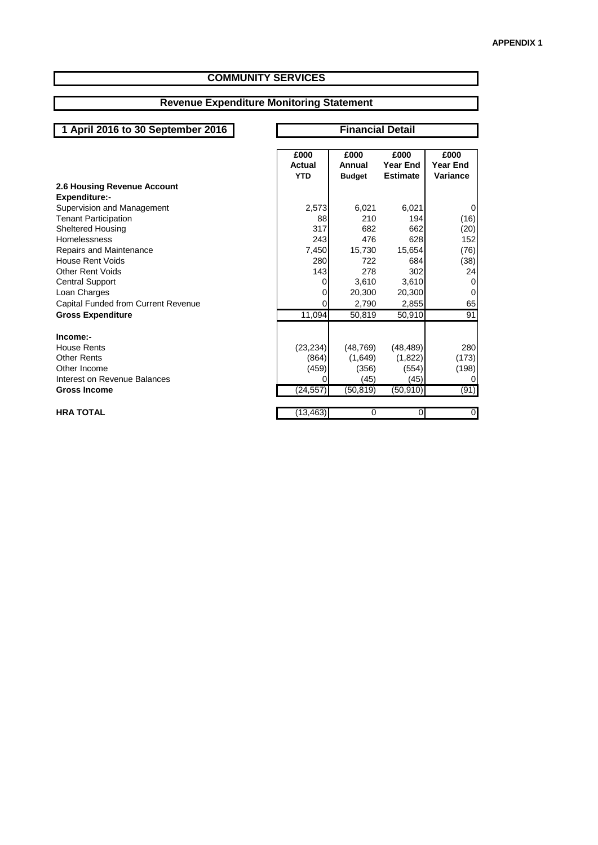#### **COMMUNITY SERVICES**

#### **Revenue Expenditure Monitoring Statement**

# **1 April 2016 to 30 September 2016 Financial Detail**

|                                     | £000       | £000          | £000            | £000            |
|-------------------------------------|------------|---------------|-----------------|-----------------|
|                                     | Actual     | Annual        | Year End        | <b>Year End</b> |
|                                     | <b>YTD</b> | <b>Budget</b> | <b>Estimate</b> | Variance        |
|                                     |            |               |                 |                 |
| 2.6 Housing Revenue Account         |            |               |                 |                 |
| <b>Expenditure:-</b>                |            |               |                 |                 |
| Supervision and Management          | 2,573      | 6,021         | 6,021           | 0               |
| <b>Tenant Participation</b>         | 88         | 210           | 194             | (16)            |
| <b>Sheltered Housing</b>            | 317        | 682           | 662             | (20)            |
| <b>Homelessness</b>                 | 243        | 476           | 628             | 152             |
| Repairs and Maintenance             | 7,450      | 15,730        | 15,654          | (76)            |
| House Rent Voids                    | 280        | 722           | 684             | (38)            |
| <b>Other Rent Voids</b>             | 143        | 278           | 302             | 24              |
| <b>Central Support</b>              | 0          | 3,610         | 3,610           | 0               |
| Loan Charges                        | O          | 20,300        | 20,300          | 0               |
| Capital Funded from Current Revenue | 0          | 2,790         | 2,855           | 65              |
| <b>Gross Expenditure</b>            | 11,094     | 50,819        | 50,910          | 91              |
| Income:-                            |            |               |                 |                 |
| <b>House Rents</b>                  | (23, 234)  | (48, 769)     | (48, 489)       | 280             |
| <b>Other Rents</b>                  | (864)      | (1,649)       | (1,822)         | (173)           |
| Other Income                        |            |               |                 |                 |
|                                     | (459)      | (356)         | (554)           | (198)           |
| Interest on Revenue Balances        | Ω          | (45)          | (45)            | 0               |
| <b>Gross Income</b>                 | (24, 557)  | (50, 819)     | (50, 910)       | (91)            |
|                                     |            |               |                 |                 |
| <b>HRA TOTAL</b>                    | (13,463)   | 0             | 0               | $\overline{0}$  |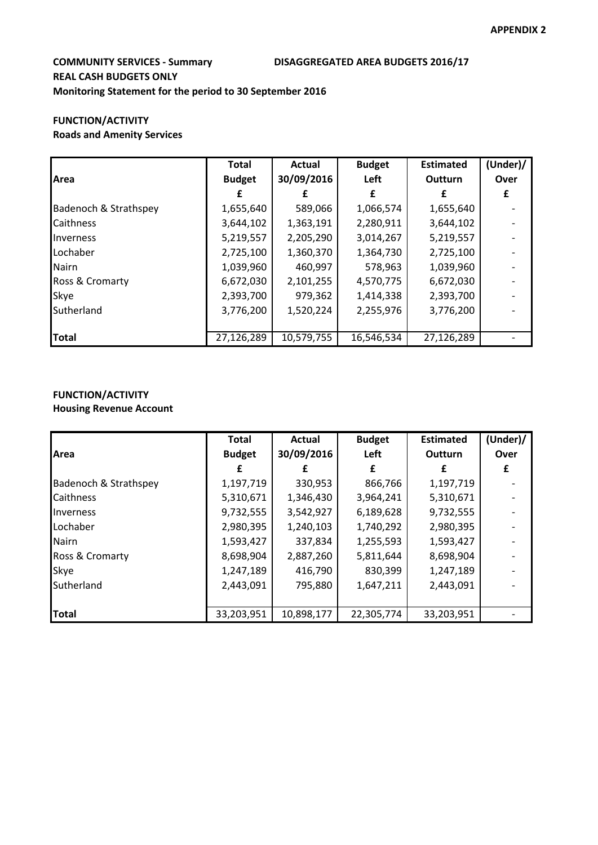### **COMMUNITY SERVICES - Summary DISAGGREGATED AREA BUDGETS 2016/17 REAL CASH BUDGETS ONLY Monitoring Statement for the period to 30 September 2016**

# **FUNCTION/ACTIVITY**

#### **Roads and Amenity Services**

|                       | <b>Total</b>  | <b>Actual</b> | <b>Budget</b> | <b>Estimated</b> | (Under)/ |
|-----------------------|---------------|---------------|---------------|------------------|----------|
| Area                  | <b>Budget</b> | 30/09/2016    | Left          | <b>Outturn</b>   | Over     |
|                       |               |               |               |                  | £        |
| Badenoch & Strathspey | 1,655,640     | 589,066       | 1,066,574     | 1,655,640        |          |
| Caithness             | 3,644,102     | 1,363,191     | 2,280,911     | 3,644,102        |          |
| Inverness             | 5,219,557     | 2,205,290     | 3,014,267     | 5,219,557        |          |
| Lochaber              | 2,725,100     | 1,360,370     | 1,364,730     | 2,725,100        |          |
| <b>Nairn</b>          | 1,039,960     | 460,997       | 578,963       | 1,039,960        |          |
| Ross & Cromarty       | 6,672,030     | 2,101,255     | 4,570,775     | 6,672,030        |          |
| Skye                  | 2,393,700     | 979,362       | 1,414,338     | 2,393,700        |          |
| Sutherland            | 3,776,200     | 1,520,224     | 2,255,976     | 3,776,200        |          |
|                       |               |               |               |                  |          |
| <b>Total</b>          | 27,126,289    | 10,579,755    | 16,546,534    | 27,126,289       |          |

### **FUNCTION/ACTIVITY**

#### **Housing Revenue Account**

|                       | <b>Total</b>  | Actual     | <b>Budget</b> | <b>Estimated</b> | (Under) / |
|-----------------------|---------------|------------|---------------|------------------|-----------|
| Area                  | <b>Budget</b> | 30/09/2016 | Left          | <b>Outturn</b>   | Over      |
|                       |               |            | £             |                  | £         |
| Badenoch & Strathspey | 1,197,719     | 330,953    | 866,766       | 1,197,719        |           |
| <b>Caithness</b>      | 5,310,671     | 1,346,430  | 3,964,241     | 5,310,671        |           |
| <b>Inverness</b>      | 9,732,555     | 3,542,927  | 6,189,628     | 9,732,555        |           |
| Lochaber              | 2,980,395     | 1,240,103  | 1,740,292     | 2,980,395        |           |
| <b>Nairn</b>          | 1,593,427     | 337,834    | 1,255,593     | 1,593,427        |           |
| Ross & Cromarty       | 8,698,904     | 2,887,260  | 5,811,644     | 8,698,904        |           |
| Skye                  | 1,247,189     | 416,790    | 830,399       | 1,247,189        |           |
| Sutherland            | 2,443,091     | 795,880    | 1,647,211     | 2,443,091        |           |
|                       |               |            |               |                  |           |
| <b>Total</b>          | 33,203,951    | 10,898,177 | 22,305,774    | 33,203,951       |           |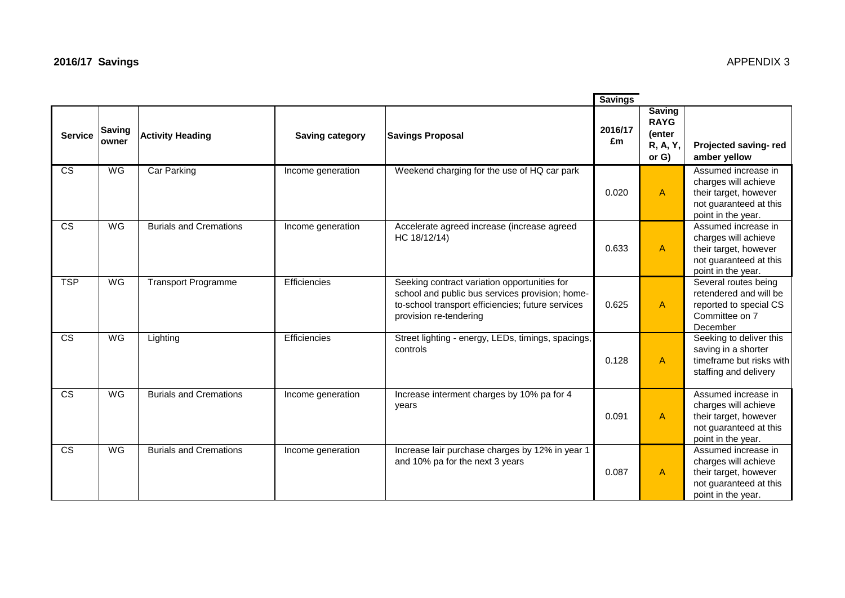|                        |                 |                               |                        |                                                                                                                                                                                | <b>Savings</b> |                                                                |                                                                                                                      |
|------------------------|-----------------|-------------------------------|------------------------|--------------------------------------------------------------------------------------------------------------------------------------------------------------------------------|----------------|----------------------------------------------------------------|----------------------------------------------------------------------------------------------------------------------|
| <b>Service</b>         | Saving<br>owner | <b>Activity Heading</b>       | <b>Saving category</b> | <b>Savings Proposal</b>                                                                                                                                                        | 2016/17<br>£m  | <b>Saving</b><br><b>RAYG</b><br>(enter<br>R, A, Y,<br>or $G$ ) | Projected saving-red<br>amber yellow                                                                                 |
| $\overline{\text{cs}}$ | WG              | <b>Car Parking</b>            | Income generation      | Weekend charging for the use of HQ car park                                                                                                                                    | 0.020          | $\mathsf{A}$                                                   | Assumed increase in<br>charges will achieve<br>their target, however<br>not guaranteed at this<br>point in the year. |
| $\overline{\text{cs}}$ | WG              | <b>Burials and Cremations</b> | Income generation      | Accelerate agreed increase (increase agreed<br>HC 18/12/14)                                                                                                                    | 0.633          | $\mathsf{A}$                                                   | Assumed increase in<br>charges will achieve<br>their target, however<br>not guaranteed at this<br>point in the year. |
| <b>TSP</b>             | <b>WG</b>       | <b>Transport Programme</b>    | Efficiencies           | Seeking contract variation opportunities for<br>school and public bus services provision; home-<br>to-school transport efficiencies; future services<br>provision re-tendering | 0.625          | $\mathsf{A}$                                                   | Several routes being<br>retendered and will be<br>reported to special CS<br>Committee on 7<br>December               |
| $\overline{\text{cs}}$ | WG              | Lighting                      | Efficiencies           | Street lighting - energy, LEDs, timings, spacings,<br>controls                                                                                                                 | 0.128          | $\mathsf{A}$                                                   | Seeking to deliver this<br>saving in a shorter<br>timeframe but risks with<br>staffing and delivery                  |
| <b>CS</b>              | <b>WG</b>       | <b>Burials and Cremations</b> | Income generation      | Increase interment charges by 10% pa for 4<br>years                                                                                                                            | 0.091          | $\mathsf{A}$                                                   | Assumed increase in<br>charges will achieve<br>their target, however<br>not guaranteed at this<br>point in the year. |
| $\overline{\text{cs}}$ | WG              | <b>Burials and Cremations</b> | Income generation      | Increase lair purchase charges by 12% in year 1<br>and 10% pa for the next 3 years                                                                                             | 0.087          | A                                                              | Assumed increase in<br>charges will achieve<br>their target, however                                                 |

their target, however not guaranteed at this point in the year.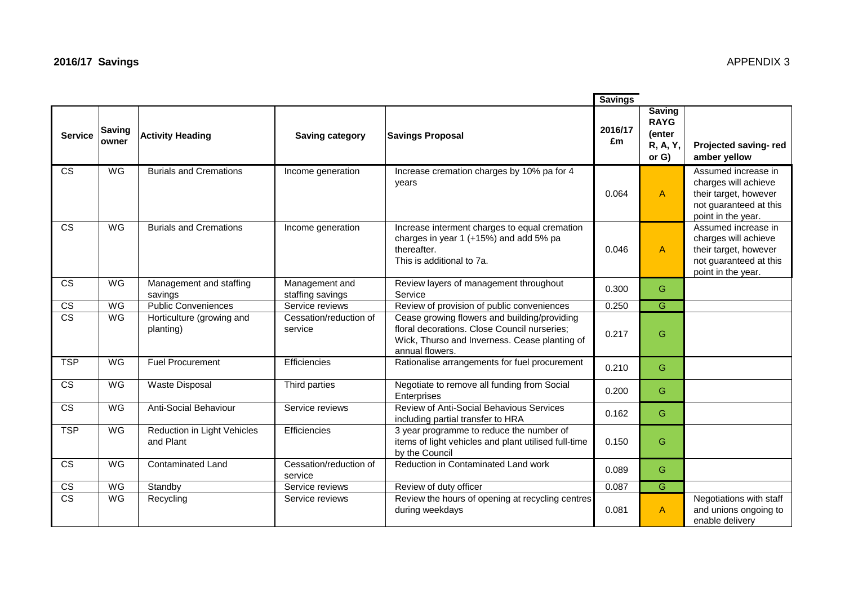|                             |                        |                                          |                                    |                                                                                                                                                                  | <b>Savings</b> |                                                                |                                                                                                                      |
|-----------------------------|------------------------|------------------------------------------|------------------------------------|------------------------------------------------------------------------------------------------------------------------------------------------------------------|----------------|----------------------------------------------------------------|----------------------------------------------------------------------------------------------------------------------|
| <b>Service</b>              | <b>Saving</b><br>owner | <b>Activity Heading</b>                  | <b>Saving category</b>             | <b>Savings Proposal</b>                                                                                                                                          | 2016/17<br>£m  | <b>Saving</b><br><b>RAYG</b><br>(enter<br>R, A, Y,<br>or $G$ ) | Projected saving-red<br>amber yellow                                                                                 |
| CS                          | WG                     | <b>Burials and Cremations</b>            | Income generation                  | Increase cremation charges by 10% pa for 4<br>years                                                                                                              | 0.064          | $\mathsf{A}$                                                   | Assumed increase in<br>charges will achieve<br>their target, however<br>not guaranteed at this<br>point in the year. |
| $\overline{\text{cs}}$      | WG                     | <b>Burials and Cremations</b>            | Income generation                  | Increase interment charges to equal cremation<br>charges in year 1 (+15%) and add 5% pa<br>thereafter.<br>This is additional to 7a.                              | 0.046          | $\mathsf{A}$                                                   | Assumed increase in<br>charges will achieve<br>their target, however<br>not guaranteed at this<br>point in the year. |
| <b>CS</b>                   | WG                     | Management and staffing<br>savings       | Management and<br>staffing savings | Review layers of management throughout<br>Service                                                                                                                | 0.300          | G                                                              |                                                                                                                      |
| $\overline{\text{cs}}$      | WG                     | <b>Public Conveniences</b>               | Service reviews                    | Review of provision of public conveniences                                                                                                                       | 0.250          | G                                                              |                                                                                                                      |
| $\overline{\text{cs}}$      | WG                     | Horticulture (growing and<br>planting)   | Cessation/reduction of<br>service  | Cease growing flowers and building/providing<br>floral decorations. Close Council nurseries;<br>Wick, Thurso and Inverness. Cease planting of<br>annual flowers. | 0.217          | G                                                              |                                                                                                                      |
| <b>TSP</b>                  | WG                     | <b>Fuel Procurement</b>                  | Efficiencies                       | Rationalise arrangements for fuel procurement                                                                                                                    | 0.210          | G                                                              |                                                                                                                      |
| $\overline{\text{cs}}$      | WG                     | <b>Waste Disposal</b>                    | Third parties                      | Negotiate to remove all funding from Social<br>Enterprises                                                                                                       | 0.200          | G                                                              |                                                                                                                      |
| $\overline{\text{cs}}$      | WG                     | Anti-Social Behaviour                    | Service reviews                    | Review of Anti-Social Behavious Services<br>including partial transfer to HRA                                                                                    | 0.162          | G                                                              |                                                                                                                      |
| <b>TSP</b>                  | WG                     | Reduction in Light Vehicles<br>and Plant | Efficiencies                       | 3 year programme to reduce the number of<br>items of light vehicles and plant utilised full-time<br>by the Council                                               | 0.150          | G                                                              |                                                                                                                      |
| $\overline{\text{cs}}$      | WG                     | <b>Contaminated Land</b>                 | Cessation/reduction of<br>service  | Reduction in Contaminated Land work                                                                                                                              | 0.089          | G                                                              |                                                                                                                      |
| $rac{\text{CS}}{\text{CS}}$ | WG                     | Standby                                  | Service reviews                    | Review of duty officer                                                                                                                                           | 0.087          | G                                                              |                                                                                                                      |
|                             | WG                     | Recycling                                | Service reviews                    | Review the hours of opening at recycling centres<br>during weekdays                                                                                              | 0.081          | $\mathsf{A}$                                                   | Negotiations with staff<br>and unions ongoing to<br>enable delivery                                                  |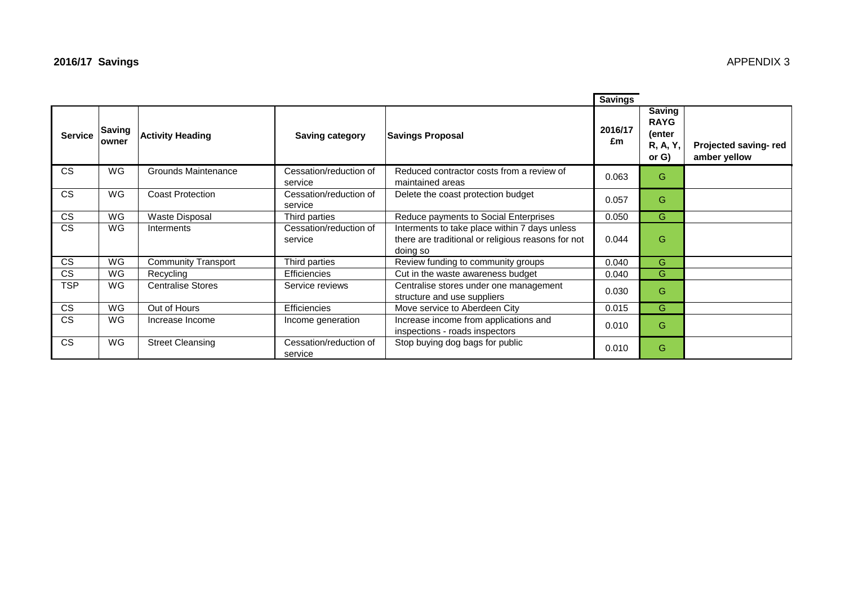|                        |                  |                            |                                   |                                                                                                                 | <b>Savings</b> |                                                                |                                      |
|------------------------|------------------|----------------------------|-----------------------------------|-----------------------------------------------------------------------------------------------------------------|----------------|----------------------------------------------------------------|--------------------------------------|
| <b>Service</b>         | Saving<br>lowner | <b>Activity Heading</b>    | <b>Saving category</b>            | <b>Savings Proposal</b>                                                                                         | 2016/17<br>£m  | <b>Saving</b><br><b>RAYG</b><br>(enter<br>R, A, Y,<br>or $G$ ) | Projected saving-red<br>amber yellow |
| <b>CS</b>              | WG               | <b>Grounds Maintenance</b> | Cessation/reduction of<br>service | Reduced contractor costs from a review of<br>maintained areas                                                   | 0.063          | G                                                              |                                      |
| <b>CS</b>              | WG               | <b>Coast Protection</b>    | Cessation/reduction of<br>service | Delete the coast protection budget                                                                              | 0.057          | G                                                              |                                      |
| <b>CS</b>              | WG               | Waste Disposal             | Third parties                     | Reduce payments to Social Enterprises                                                                           | 0.050          | G                                                              |                                      |
| $\overline{\text{cs}}$ | WG               | Interments                 | Cessation/reduction of<br>service | Interments to take place within 7 days unless<br>there are traditional or religious reasons for not<br>doing so | 0.044          | G                                                              |                                      |
| <b>CS</b>              | WG               | <b>Community Transport</b> | Third parties                     | Review funding to community groups                                                                              | 0.040          | G                                                              |                                      |
| <b>CS</b>              | <b>WG</b>        | Recycling                  | <b>Efficiencies</b>               | Cut in the waste awareness budget                                                                               | 0.040          | G                                                              |                                      |
| <b>TSP</b>             | WG               | <b>Centralise Stores</b>   | Service reviews                   | Centralise stores under one management<br>structure and use suppliers                                           | 0.030          | G                                                              |                                      |
| $\overline{\text{cs}}$ | WG               | Out of Hours               | <b>Efficiencies</b>               | Move service to Aberdeen City                                                                                   | 0.015          | G                                                              |                                      |
| <b>CS</b>              | <b>WG</b>        | Increase Income            | Income generation                 | Increase income from applications and<br>inspections - roads inspectors                                         | 0.010          | G                                                              |                                      |
| <b>CS</b>              | WG               | <b>Street Cleansing</b>    | Cessation/reduction of<br>service | Stop buying dog bags for public                                                                                 | 0.010          | G                                                              |                                      |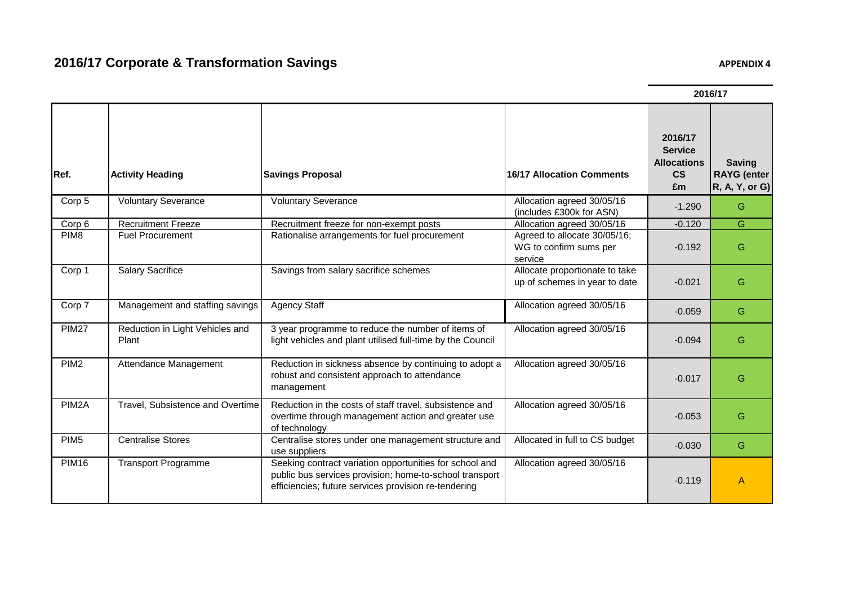PIM16 Transport Programme Seeking contract variation opportunities for school and

**Ref. Activity Heading Savings Proposal 16/17 Allocation Comments 2016/17 Service Allocations CS £m Saving RAYG (enter R, A, Y, or G)** Corp 5 | Voluntary Severance | Voluntary Severance | Xing The Voluntary Severance | Allocation agreed 30/05/16 Allocation agreed 30/03/10<br>
Allocation agreed 30/05/16 -1.290 G<br>
-0.120 G Corp 6 Recruitment Freeze Recruitment freeze for non-exempt posts Allocation agreed 30/05/16 -0.120 G<br>PIM8 Fuel Procurement Rationalise arrangements for fuel procurement Agreed to allocate 30/05/16 Puel Procurement Rationalise arrangements for fuel procurement Agreed to allocate 30/05/16; WG to confirm sums per service -0.192 G Corp 1 Salary Sacrifice Savings from salary sacrifice schemes Allocate proportionate to take up of schemes in year to date  $\begin{vmatrix} 1 & 0 & -0.021 \end{vmatrix}$  G Corp 7 Management and staffing savings Agency Staff Allocation agreed 30/05/16 -0.059 G PIM27 Reduction in Light Vehicles and Plant 3 year programme to reduce the number of items of light vehicles and plant utilised full-time by the Council Allocation agreed 30/05/16  $-0.094$  G PIM2 Attendance Management Reduction in sickness absence by continuing to adopt a robust and consistent approach to attendance management Allocation agreed 30/05/16 -0.017 G PIM2A Travel, Subsistence and Overtime Reduction in the costs of staff travel, subsistence and overtime through management action and greater use of technology Allocation agreed 30/05/16 -0.053 G PIM5 Centralise Stores Centralise Stores Centralise stores under one management structure and use suppliers Allocated in full to CS budget -0.030 <sup>G</sup>

Allocation agreed 30/05/16

public bus services provision; home-to-school transport efficiencies; future services provision re-tendering

#### **2016/17**

 $-0.119$  A